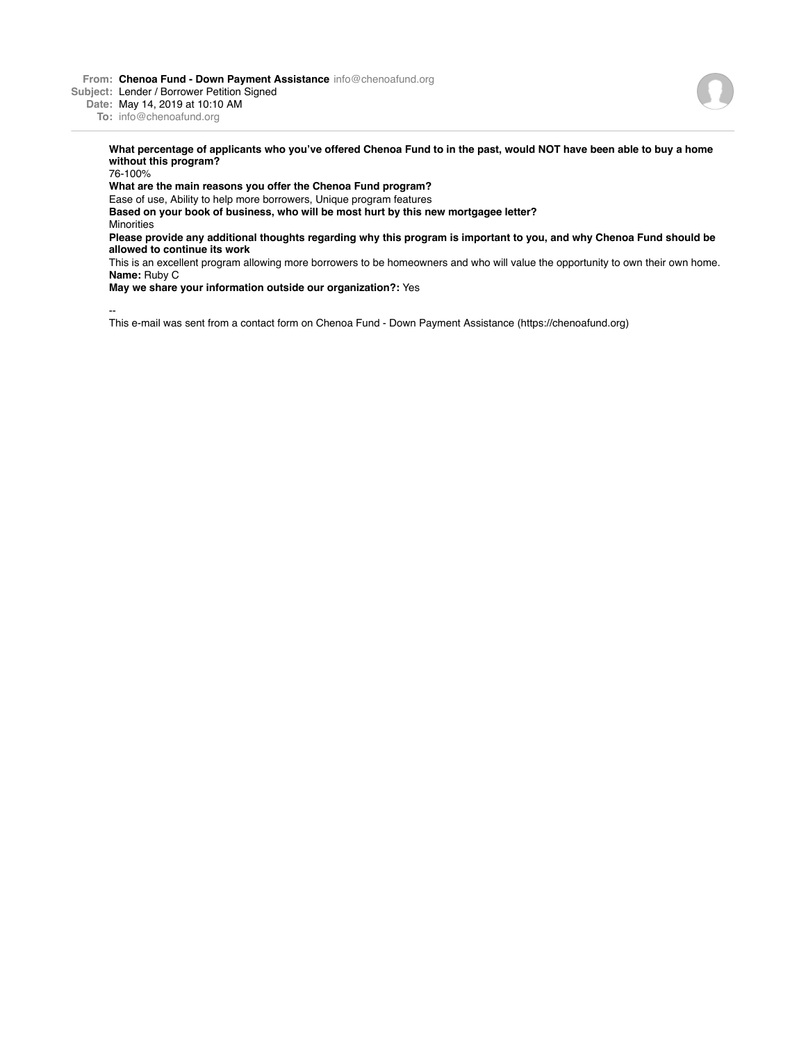**From: Chenoa Fund - Down Payment Assistance** info@chenoafund.org

**Subject:** Lender / Borrower Petition Signed

**Date:** May 14, 2019 at 10:10 AM

**To:** info@chenoafund.org

**What percentage of applicants who you've offered Chenoa Fund to in the past, would NOT have been able to buy a home without this program?**

76-100%

**What are the main reasons you offer the Chenoa Fund program?**

Ease of use, Ability to help more borrowers, Unique program features

**Based on your book of business, who will be most hurt by this new mortgagee letter? Minorities** 

**Please provide any additional thoughts regarding why this program is important to you, and why Chenoa Fund should be allowed to continue its work**

This is an excellent program allowing more borrowers to be homeowners and who will value the opportunity to own their own home. **Name:** Ruby C

**May we share your information outside our organization?:** Yes

-- This e-mail was sent from a contact form on Chenoa Fund - Down Payment Assistance (https://chenoafund.org)